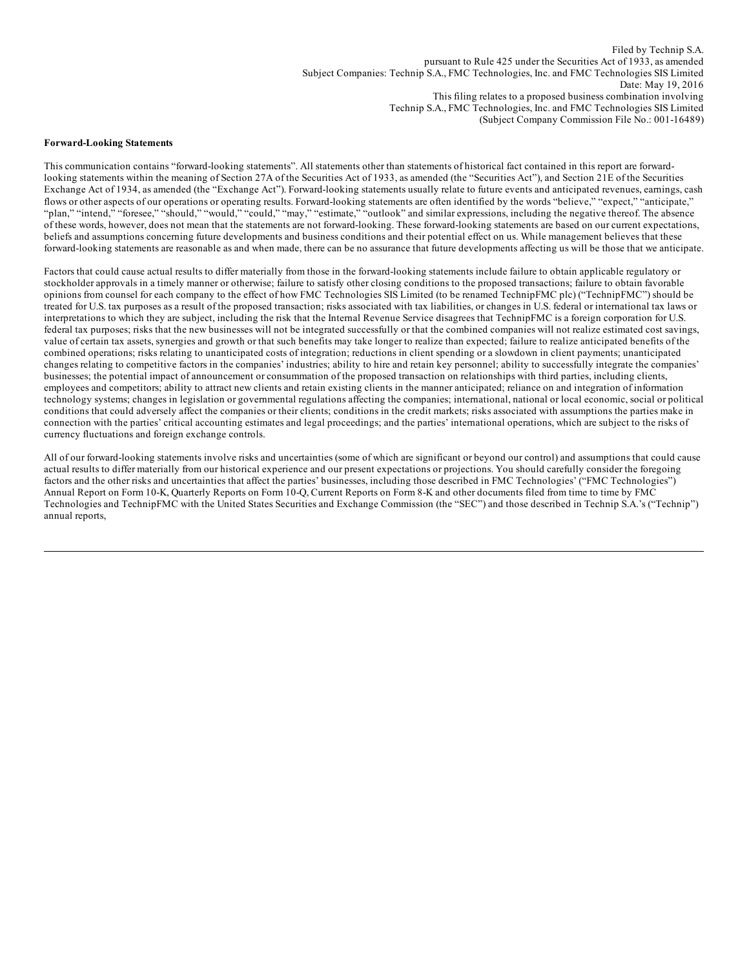Filed by Technip S.A. pursuant to Rule 425 under the Securities Act of 1933, as amended Subject Companies: Technip S.A., FMC Technologies, Inc. and FMC Technologies SIS Limited Date: May 19, 2016 This filing relates to a proposed business combination involving Technip S.A., FMC Technologies, Inc. and FMC Technologies SIS Limited (Subject Company Commission File No.: 001-16489)

#### **Forward-Looking Statements**

This communication contains "forward-looking statements". All statements other than statements of historical fact contained in this report are forwardlooking statements within the meaning of Section 27A of the Securities Act of 1933, as amended (the "Securities Act"), and Section 21E of the Securities Exchange Act of 1934, as amended (the "Exchange Act"). Forward-looking statements usually relate to future events and anticipated revenues, earnings, cash flows or other aspects of our operations or operating results. Forward-looking statements are often identified by the words "believe," "expect," "anticipate," "plan," "intend," "foresee," "should," "would," "could," "may," "estimate," "outlook" and similar expressions, including the negative thereof. The absence of these words, however, does not mean that the statements are not forward-looking. These forward-looking statements are based on our current expectations, beliefs and assumptions concerning future developments and business conditions and their potential effect on us. While management believes that these forward-looking statements are reasonable as and when made, there can be no assurance that future developments affecting us will be those that we anticipate.

Factors that could cause actual results to differ materially from those in the forward-looking statements include failure to obtain applicable regulatory or stockholder approvals in a timely manner or otherwise; failure to satisfy other closing conditions to the proposed transactions; failure to obtain favorable opinions from counsel for each company to the effect of how FMC Technologies SIS Limited (to be renamed TechnipFMC plc) ("TechnipFMC") should be treated for U.S. tax purposes as a result of the proposed transaction; risks associated with tax liabilities, or changes in U.S. federal or international tax laws or interpretations to which they are subject, including the risk that the Internal Revenue Service disagrees that TechnipFMC is a foreign corporation for U.S. federal tax purposes; risks that the new businesses will not be integrated successfully or that the combined companies will not realize estimated cost savings, value of certain tax assets, synergies and growth or that such benefits may take longer to realize than expected; failure to realize anticipated benefits of the combined operations; risks relating to unanticipated costs of integration; reductions in client spending or a slowdown in client payments; unanticipated changes relating to competitive factors in the companies' industries; ability to hire and retain key personnel; ability to successfully integrate the companies' businesses; the potential impact of announcement or consummation of the proposed transaction on relationships with third parties, including clients, employees and competitors; ability to attract new clients and retain existing clients in the manner anticipated; reliance on and integration of information technology systems; changes in legislation or governmental regulations affecting the companies; international, national or local economic, social or political conditions that could adversely affect the companies or their clients; conditions in the credit markets; risks associated with assumptions the parties make in connection with the parties' critical accounting estimates and legal proceedings; and the parties' international operations, which are subject to the risks of currency fluctuations and foreign exchange controls.

All of our forward-looking statements involve risks and uncertainties (some of which are significant or beyond our control) and assumptions that could cause actual results to differ materially from our historical experience and our present expectations or projections. You should carefully consider the foregoing factors and the other risks and uncertainties that affect the parties' businesses, including those described in FMC Technologies' ("FMC Technologies") Annual Report on Form 10-K, Quarterly Reports on Form 10-Q, Current Reports on Form 8-K and other documents filed from time to time by FMC Technologies and TechnipFMC with the United States Securities and Exchange Commission (the "SEC") and those described in Technip S.A.'s ("Technip") annual reports,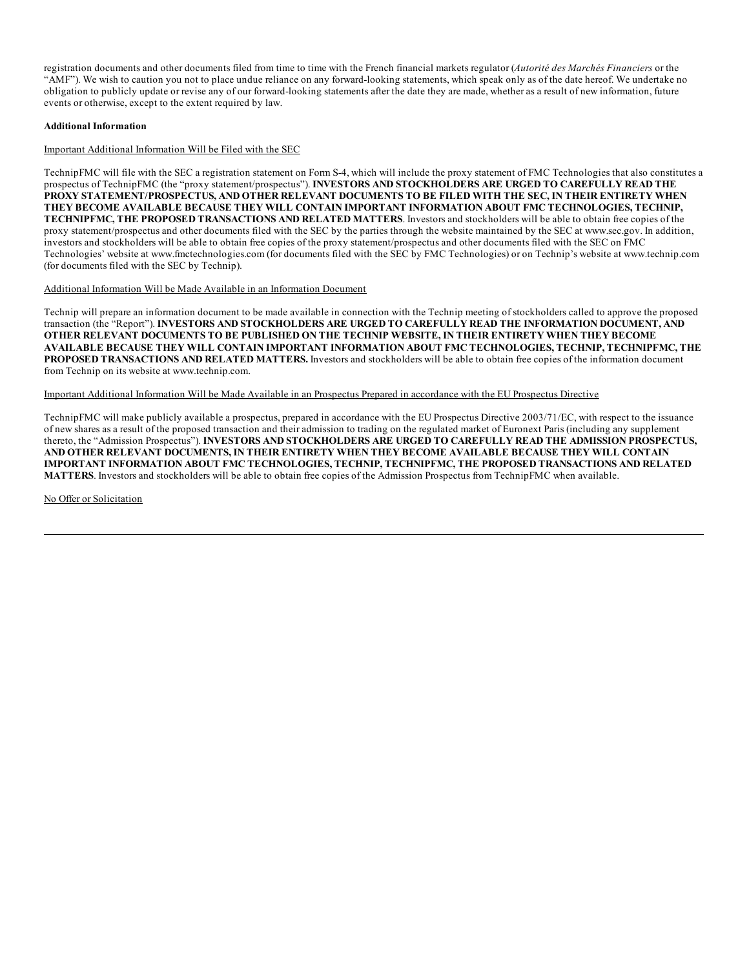registration documents and other documents filed from time to time with the French financial markets regulator (*Autorité des Marchés Financiers* or the "AMF"). We wish to caution you not to place undue reliance on any forward-looking statements, which speak only as of the date hereof. We undertake no obligation to publicly update or revise any of our forward-looking statements after the date they are made, whether as a result of new information, future events or otherwise, except to the extent required by law.

#### **Additional Information**

Important Additional Information Will be Filed with the SEC

TechnipFMC will file with the SEC a registration statement on Form S-4, which will include the proxy statement of FMC Technologies that also constitutes a prospectus of TechnipFMC (the "proxy statement/prospectus"). **INVESTORS AND STOCKHOLDERS ARE URGED TO CAREFULLY READ THE PROXY STATEMENT/PROSPECTUS, AND OTHER RELEVANT DOCUMENTS TO BE FILED WITH THE SEC, IN THEIR ENTIRETY WHEN THEY BECOME AVAILABLE BECAUSE THEY WILL CONTAIN IMPORTANT INFORMATION ABOUT FMC TECHNOLOGIES, TECHNIP, TECHNIPFMC, THE PROPOSED TRANSACTIONS AND RELATED MATTERS**. Investors and stockholders will be able to obtain free copies of the proxy statement/prospectus and other documents filed with the SEC by the parties through the website maintained by the SEC at www.sec.gov. In addition, investors and stockholders will be able to obtain free copies of the proxy statement/prospectus and other documents filed with the SEC on FMC Technologies' website at www.fmctechnologies.com (for documents filed with the SEC by FMC Technologies) or on Technip's website at www.technip.com (for documents filed with the SEC by Technip).

#### Additional Information Will be Made Available in an Information Document

Technip will prepare an information document to be made available in connection with the Technip meeting of stockholders called to approve the proposed transaction (the "Report"). **INVESTORS AND STOCKHOLDERS ARE URGED TO CAREFULLY READ THE INFORMATION DOCUMENT, AND OTHER RELEVANT DOCUMENTS TO BE PUBLISHED ON THE TECHNIP WEBSITE, IN THEIR ENTIRETY WHEN THEY BECOME AVAILABLE BECAUSE THEY WILL CONTAIN IMPORTANT INFORMATION ABOUT FMC TECHNOLOGIES, TECHNIP, TECHNIPFMC, THE PROPOSED TRANSACTIONS AND RELATED MATTERS.** Investors and stockholders will be able to obtain free copies of the information document from Technip on its website at www.technip.com.

Important Additional Information Will be Made Available in an Prospectus Prepared in accordance with the EU Prospectus Directive

TechnipFMC will make publicly available a prospectus, prepared in accordance with the EU Prospectus Directive 2003/71/EC, with respect to the issuance of new shares as a result of the proposed transaction and their admission to trading on the regulated market of Euronext Paris (including any supplement thereto, the "Admission Prospectus"). **INVESTORS AND STOCKHOLDERS ARE URGED TO CAREFULLY READ THE ADMISSION PROSPECTUS, AND OTHER RELEVANT DOCUMENTS, IN THEIR ENTIRETY WHEN THEY BECOME AVAILABLE BECAUSE THEY WILL CONTAIN IMPORTANT INFORMATION ABOUT FMC TECHNOLOGIES, TECHNIP, TECHNIPFMC, THE PROPOSED TRANSACTIONS AND RELATED MATTERS**. Investors and stockholders will be able to obtain free copies of the Admission Prospectus from TechnipFMC when available.

No Offer or Solicitation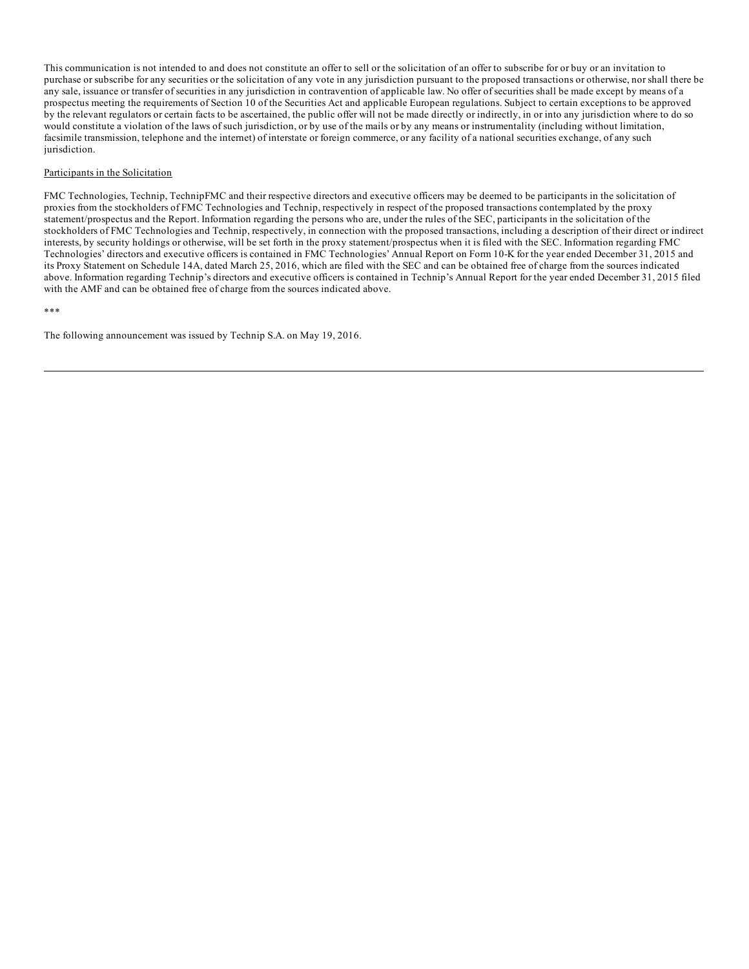This communication is not intended to and does not constitute an offer to sell or the solicitation of an offer to subscribe for or buy or an invitation to purchase or subscribe for any securities or the solicitation of any vote in any jurisdiction pursuant to the proposed transactions or otherwise, nor shall there be any sale, issuance or transfer of securities in any jurisdiction in contravention of applicable law. No offer of securities shall be made except by means of a prospectus meeting the requirements of Section 10 of the Securities Act and applicable European regulations. Subject to certain exceptions to be approved by the relevant regulators or certain facts to be ascertained, the public offer will not be made directly or indirectly, in or into any jurisdiction where to do so would constitute a violation of the laws of such jurisdiction, or by use of the mails or by any means or instrumentality (including without limitation, facsimile transmission, telephone and the internet) of interstate or foreign commerce, or any facility of a national securities exchange, of any such jurisdiction.

#### Participants in the Solicitation

FMC Technologies, Technip, TechnipFMC and their respective directors and executive officers may be deemed to be participants in the solicitation of proxies from the stockholders of FMC Technologies and Technip, respectively in respect of the proposed transactions contemplated by the proxy statement/prospectus and the Report. Information regarding the persons who are, under the rules of the SEC, participants in the solicitation of the stockholders of FMC Technologies and Technip, respectively, in connection with the proposed transactions, including a description of their direct or indirect interests, by security holdings or otherwise, will be set forth in the proxy statement/prospectus when it is filed with the SEC. Information regarding FMC Technologies' directors and executive officers is contained in FMC Technologies' Annual Report on Form 10-K for the year ended December 31, 2015 and its Proxy Statement on Schedule 14A, dated March 25, 2016, which are filed with the SEC and can be obtained free of charge from the sources indicated above. Information regarding Technip's directors and executive officers is contained in Technip's Annual Report for the year ended December 31, 2015 filed with the AMF and can be obtained free of charge from the sources indicated above.

\*\*\*

The following announcement was issued by Technip S.A. on May 19, 2016.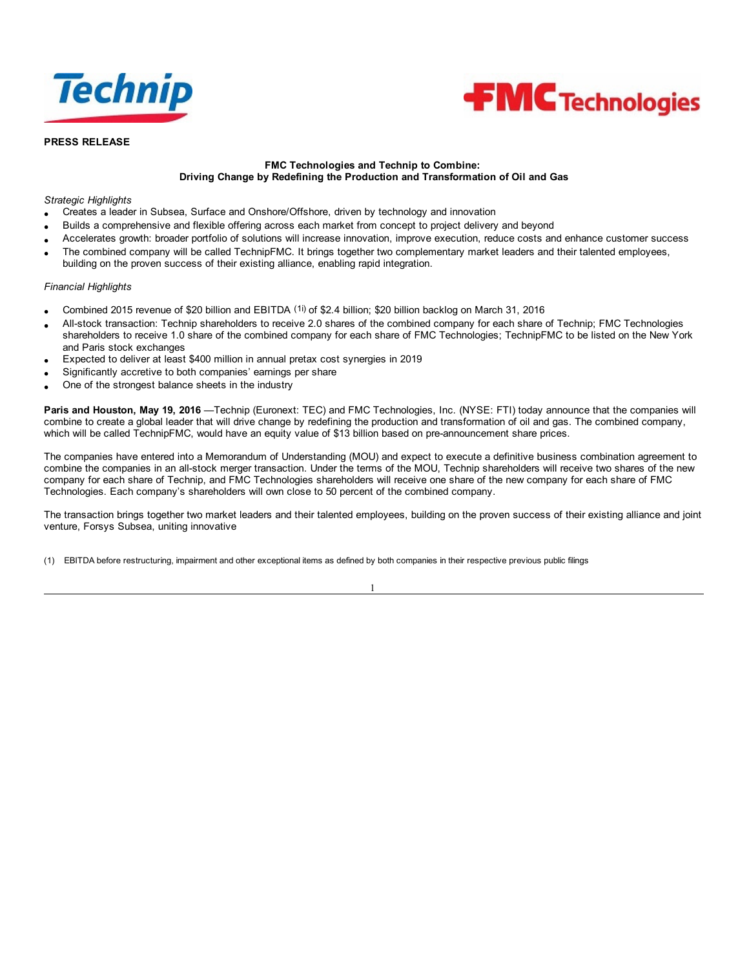



# **PRESS RELEASE**

# **FMC Technologies and Technip to Combine: Driving Change by Redefining the Production and Transformation of Oil and Gas**

### *Strategic Highlights*

- · Creates a leader in Subsea, Surface and Onshore/Offshore, driven by technology and innovation
- · Builds a comprehensive and flexible offering across each market from concept to project delivery and beyond
- · Accelerates growth: broader portfolio of solutions will increase innovation, improve execution, reduce costs and enhance customer success
- The combined company will be called TechnipFMC. It brings together two complementary market leaders and their talented employees, building on the proven success of their existing alliance, enabling rapid integration.

#### *Financial Highlights*

- · Combined 2015 revenue of \$20 billion and EBITDA (1i) of \$2.4 billion; \$20 billion backlog on March 31, 2016
- · All-stock transaction: Technip shareholders to receive 2.0 shares of the combined company for each share of Technip; FMC Technologies shareholders to receive 1.0 share of the combined company for each share of FMC Technologies; TechnipFMC to be listed on the New York and Paris stock exchanges
- Expected to deliver at least \$400 million in annual pretax cost synergies in 2019
- Significantly accretive to both companies' earnings per share
- One of the strongest balance sheets in the industry

**Paris and Houston, May 19, 2016** —Technip (Euronext: TEC) and FMC Technologies, Inc. (NYSE: FTI) today announce that the companies will combine to create a global leader that will drive change by redefining the production and transformation of oil and gas. The combined company, which will be called TechnipFMC, would have an equity value of \$13 billion based on pre-announcement share prices.

The companies have entered into a Memorandum of Understanding (MOU) and expect to execute a definitive business combination agreement to combine the companies in an all-stock merger transaction. Under the terms of the MOU, Technip shareholders will receive two shares of the new company for each share of Technip, and FMC Technologies shareholders will receive one share of the new company for each share of FMC Technologies. Each company's shareholders will own close to 50 percent of the combined company.

The transaction brings together two market leaders and their talented employees, building on the proven success of their existing alliance and joint venture, Forsys Subsea, uniting innovative

1

(1) EBITDA before restructuring, impairment and other exceptional items as defined by both companies in their respective previous public filings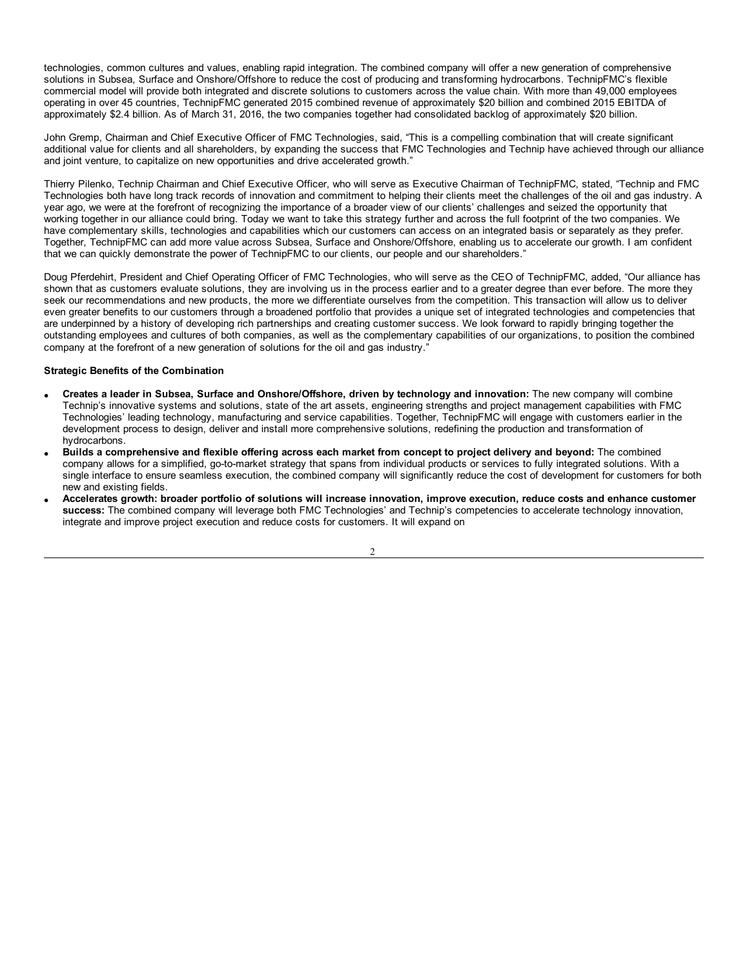technologies, common cultures and values, enabling rapid integration. The combined company will offer a new generation of comprehensive solutions in Subsea, Surface and Onshore/Offshore to reduce the cost of producing and transforming hydrocarbons. TechnipFMC's flexible commercial model will provide both integrated and discrete solutions to customers across the value chain. With more than 49,000 employees operating in over 45 countries, TechnipFMC generated 2015 combined revenue of approximately \$20 billion and combined 2015 EBITDA of approximately \$2.4 billion. As of March 31, 2016, the two companies together had consolidated backlog of approximately \$20 billion.

John Gremp, Chairman and Chief Executive Officer of FMC Technologies, said, "This is a compelling combination that will create significant additional value for clients and all shareholders, by expanding the success that FMC Technologies and Technip have achieved through our alliance and joint venture, to capitalize on new opportunities and drive accelerated growth."

Thierry Pilenko, Technip Chairman and Chief Executive Officer, who will serve as Executive Chairman of TechnipFMC, stated, "Technip and FMC Technologies both have long track records of innovation and commitment to helping their clients meet the challenges of the oil and gas industry. A year ago, we were at the forefront of recognizing the importance of a broader view of our clients' challenges and seized the opportunity that working together in our alliance could bring. Today we want to take this strategy further and across the full footprint of the two companies. We have complementary skills, technologies and capabilities which our customers can access on an integrated basis or separately as they prefer. Together, TechnipFMC can add more value across Subsea, Surface and Onshore/Offshore, enabling us to accelerate our growth. I am confident that we can quickly demonstrate the power of TechnipFMC to our clients, our people and our shareholders."

Doug Pferdehirt, President and Chief Operating Officer of FMC Technologies, who will serve as the CEO of TechnipFMC, added, "Our alliance has shown that as customers evaluate solutions, they are involving us in the process earlier and to a greater degree than ever before. The more they seek our recommendations and new products, the more we differentiate ourselves from the competition. This transaction will allow us to deliver even greater benefits to our customers through a broadened portfolio that provides a unique set of integrated technologies and competencies that are underpinned by a history of developing rich partnerships and creating customer success. We look forward to rapidly bringing together the outstanding employees and cultures of both companies, as well as the complementary capabilities of our organizations, to position the combined company at the forefront of a new generation of solutions for the oil and gas industry."

# **Strategic Benefits of the Combination**

- · **Creates a leader in Subsea, Surface and Onshore/Offshore, driven by technology and innovation:** The new company will combine Technip's innovative systems and solutions, state of the art assets, engineering strengths and project management capabilities with FMC Technologies' leading technology, manufacturing and service capabilities. Together, TechnipFMC will engage with customers earlier in the development process to design, deliver and install more comprehensive solutions, redefining the production and transformation of hydrocarbons.
- Builds a comprehensive and flexible offering across each market from concept to project delivery and beyond: The combined company allows for a simplified, go-to-market strategy that spans from individual products or services to fully integrated solutions. With a single interface to ensure seamless execution, the combined company will significantly reduce the cost of development for customers for both new and existing fields.
- Accelerates growth: broader portfolio of solutions will increase innovation, improve execution, reduce costs and enhance customer **success:** The combined company will leverage both FMC Technologies' and Technip's competencies to accelerate technology innovation, integrate and improve project execution and reduce costs for customers. It will expand on

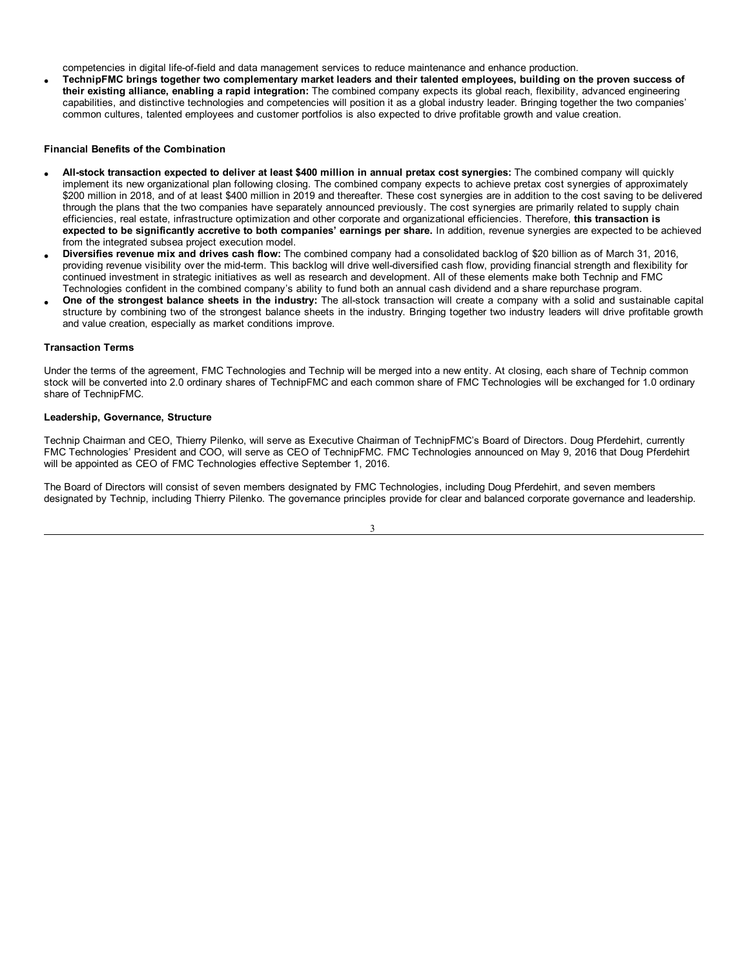competencies in digital life-of-field and data management services to reduce maintenance and enhance production.

TechnipFMC brings together two complementary market leaders and their talented employees, building on the proven success of **their existing alliance, enabling a rapid integration:** The combined company expects its global reach, flexibility, advanced engineering capabilities, and distinctive technologies and competencies will position it as a global industry leader. Bringing together the two companies' common cultures, talented employees and customer portfolios is also expected to drive profitable growth and value creation.

### **Financial Benefits of the Combination**

- All-stock transaction expected to deliver at least \$400 million in annual pretax cost synergies: The combined company will quickly implement its new organizational plan following closing. The combined company expects to achieve pretax cost synergies of approximately \$200 million in 2018, and of at least \$400 million in 2019 and thereafter. These cost synergies are in addition to the cost saving to be delivered through the plans that the two companies have separately announced previously. The cost synergies are primarily related to supply chain efficiencies, real estate, infrastructure optimization and other corporate and organizational efficiencies. Therefore, **this transaction is expected to be significantly accretive to both companies' earnings per share.** In addition, revenue synergies are expected to be achieved from the integrated subsea project execution model.
- · **Diversifies revenue mix and drives cash flow:** The combined company had a consolidated backlog of \$20 billion as of March 31, 2016, providing revenue visibility over the mid-term. This backlog will drive well-diversified cash flow, providing financial strength and flexibility for continued investment in strategic initiatives as well as research and development. All of these elements make both Technip and FMC Technologies confident in the combined company's ability to fund both an annual cash dividend and a share repurchase program.
- · **One of the strongest balance sheets in the industry:** The all-stock transaction will create a company with a solid and sustainable capital structure by combining two of the strongest balance sheets in the industry. Bringing together two industry leaders will drive profitable growth and value creation, especially as market conditions improve.

#### **Transaction Terms**

Under the terms of the agreement, FMC Technologies and Technip will be merged into a new entity. At closing, each share of Technip common stock will be converted into 2.0 ordinary shares of TechnipFMC and each common share of FMC Technologies will be exchanged for 1.0 ordinary share of TechnipFMC.

#### **Leadership, Governance, Structure**

Technip Chairman and CEO, Thierry Pilenko, will serve as Executive Chairman of TechnipFMC's Board of Directors. Doug Pferdehirt, currently FMC Technologies' President and COO, will serve as CEO of TechnipFMC. FMC Technologies announced on May 9, 2016 that Doug Pferdehirt will be appointed as CEO of FMC Technologies effective September 1, 2016.

The Board of Directors will consist of seven members designated by FMC Technologies, including Doug Pferdehirt, and seven members designated by Technip, including Thierry Pilenko. The governance principles provide for clear and balanced corporate governance and leadership.

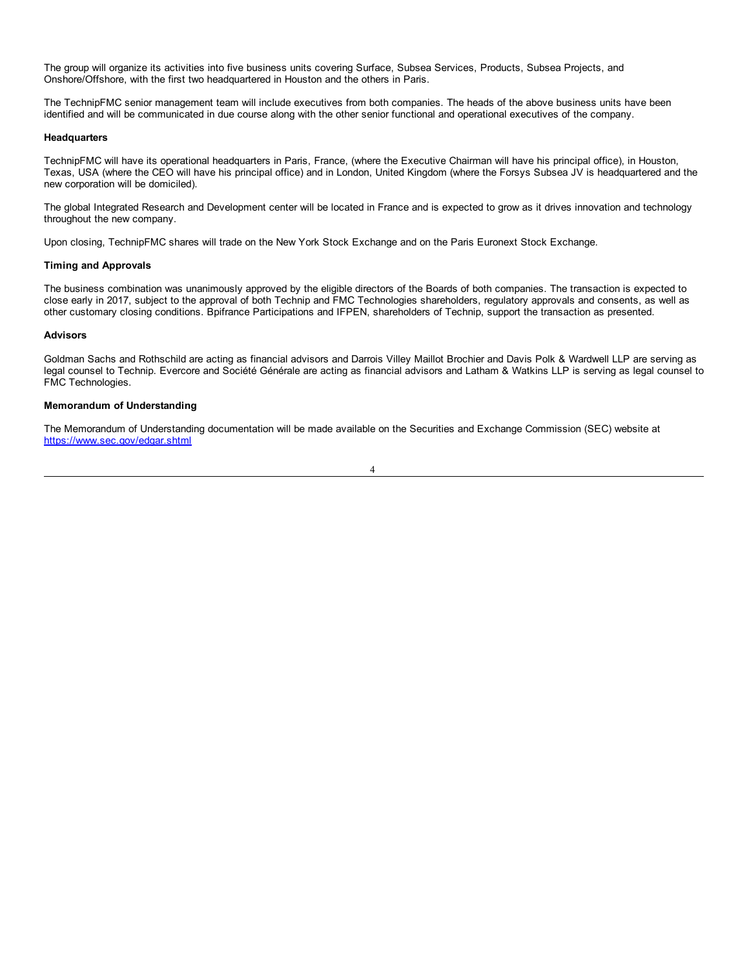The group will organize its activities into five business units covering Surface, Subsea Services, Products, Subsea Projects, and Onshore/Offshore, with the first two headquartered in Houston and the others in Paris.

The TechnipFMC senior management team will include executives from both companies. The heads of the above business units have been identified and will be communicated in due course along with the other senior functional and operational executives of the company.

#### **Headquarters**

TechnipFMC will have its operational headquarters in Paris, France, (where the Executive Chairman will have his principal office), in Houston, Texas, USA (where the CEO will have his principal office) and in London, United Kingdom (where the Forsys Subsea JV is headquartered and the new corporation will be domiciled).

The global Integrated Research and Development center will be located in France and is expected to grow as it drives innovation and technology throughout the new company.

Upon closing, TechnipFMC shares will trade on the New York Stock Exchange and on the Paris Euronext Stock Exchange.

### **Timing and Approvals**

The business combination was unanimously approved by the eligible directors of the Boards of both companies. The transaction is expected to close early in 2017, subject to the approval of both Technip and FMC Technologies shareholders, regulatory approvals and consents, as well as other customary closing conditions. Bpifrance Participations and IFPEN, shareholders of Technip, support the transaction as presented.

#### **Advisors**

Goldman Sachs and Rothschild are acting as financial advisors and Darrois Villey Maillot Brochier and Davis Polk & Wardwell LLP are serving as legal counsel to Technip. Evercore and Société Générale are acting as financial advisors and Latham & Watkins LLP is serving as legal counsel to FMC Technologies.

### **Memorandum of Understanding**

The Memorandum of Understanding documentation will be made available on the Securities and Exchange Commission (SEC) website at https://www.sec.gov/edgar.shtml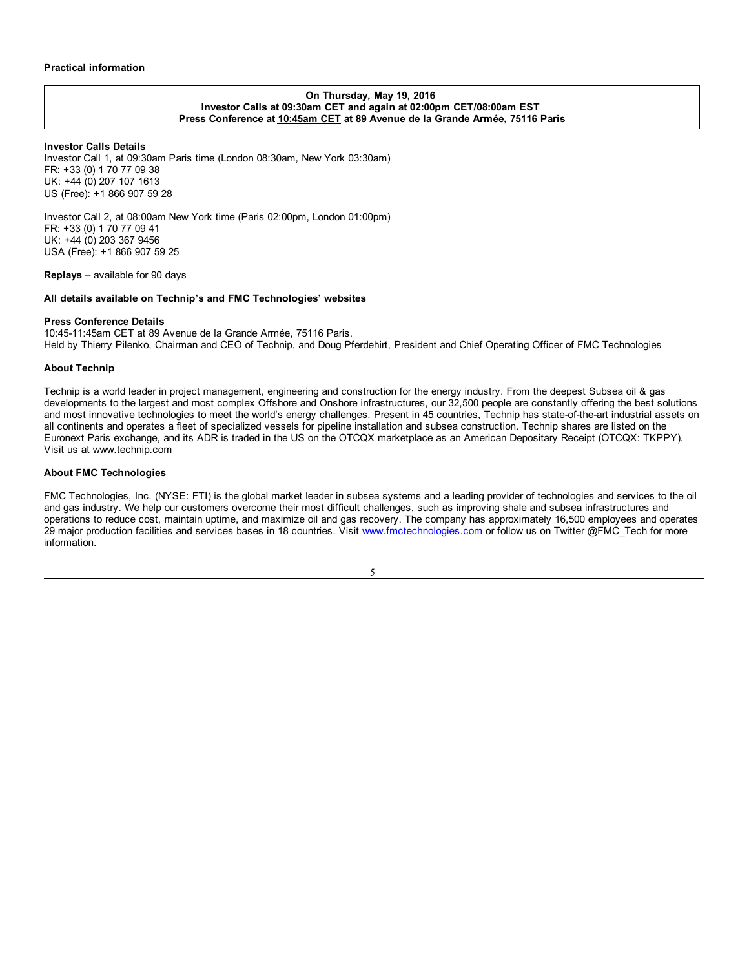### **On Thursday, May 19, 2016 Investor Calls at 09:30am CET and again at 02:00pm CET/08:00am EST Press Conference at 10:45am CET at 89 Avenue de la Grande Armée, 75116 Paris**

### **Investor Calls Details**

Investor Call 1, at 09:30am Paris time (London 08:30am, New York 03:30am) FR: +33 (0) 1 70 77 09 38 UK: +44 (0) 207 107 1613 US (Free): +1 866 907 59 28

Investor Call 2, at 08:00am New York time (Paris 02:00pm, London 01:00pm) FR: +33 (0) 1 70 77 09 41 UK: +44 (0) 203 367 9456 USA (Free): +1 866 907 59 25

**Replays** – available for 90 days

### **All details available on Technip's and FMC Technologies' websites**

### **Press Conference Details**

10:45-11:45am CET at 89 Avenue de la Grande Armée, 75116 Paris. Held by Thierry Pilenko, Chairman and CEO of Technip, and Doug Pferdehirt, President and Chief Operating Officer of FMC Technologies

#### **About Technip**

Technip is a world leader in project management, engineering and construction for the energy industry. From the deepest Subsea oil & gas developments to the largest and most complex Offshore and Onshore infrastructures, our 32,500 people are constantly offering the best solutions and most innovative technologies to meet the world's energy challenges. Present in 45 countries, Technip has state-of-the-art industrial assets on all continents and operates a fleet of specialized vessels for pipeline installation and subsea construction. Technip shares are listed on the Euronext Paris exchange, and its ADR is traded in the US on the OTCQX marketplace as an American Depositary Receipt (OTCQX: TKPPY). Visit us at www.technip.com

### **About FMC Technologies**

FMC Technologies, Inc. (NYSE: FTI) is the global market leader in subsea systems and a leading provider of technologies and services to the oil and gas industry. We help our customers overcome their most difficult challenges, such as improving shale and subsea infrastructures and operations to reduce cost, maintain uptime, and maximize oil and gas recovery. The company has approximately 16,500 employees and operates 29 major production facilities and services bases in 18 countries. Visit www.fmctechnologies.com or follow us on Twitter @FMC\_Tech for more information.

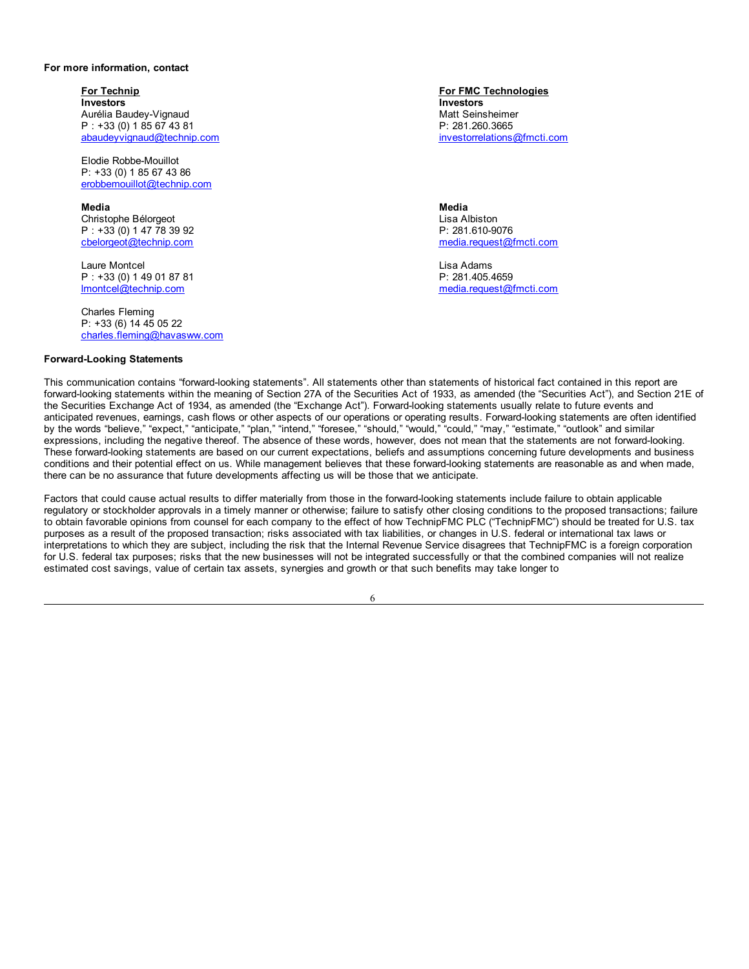#### **For more information, contact**

**For Technip For FMC Technologies Investors** Aurélia Baudey-Vignaud P : +33 (0) 1 85 67 43 81 abaudeyvignaud@technip.com

Elodie Robbe-Mouillot P: +33 (0) 1 85 67 43 86 erobbemouillot@technip.com

**Media** Christophe Bélorgeot P : +33 (0) 1 47 78 39 92 cbelorgeot@technip.com

Laure Montcel P : +33 (0) 1 49 01 87 81 lmontcel@technip.com

Charles Fleming P: +33 (6) 14 45 05 22 charles.fleming@havasww.com

### **Forward-Looking Statements**

**Investors** Matt Seinsheimer P: 281.260.3665 investorrelations@fmcti.com

**Media** Lisa Albiston P: 281.610-9076 media.request@fmcti.com

Lisa Adams P: 281.405.4659 media.request@fmcti.com

This communication contains "forward-looking statements". All statements other than statements of historical fact contained in this report are forward-looking statements within the meaning of Section 27A of the Securities Act of 1933, as amended (the "Securities Act"), and Section 21E of the Securities Exchange Act of 1934, as amended (the "Exchange Act"). Forward-looking statements usually relate to future events and anticipated revenues, earnings, cash flows or other aspects of our operations or operating results. Forward-looking statements are often identified by the words "believe," "expect," "anticipate," "plan," "intend," "foresee," "should," "would," "rould," "may," "estimate," "outlook" and similar expressions, including the negative thereof. The absence of these words, however, does not mean that the statements are not forward-looking. These forward-looking statements are based on our current expectations, beliefs and assumptions concerning future developments and business conditions and their potential effect on us. While management believes that these forward-looking statements are reasonable as and when made, there can be no assurance that future developments affecting us will be those that we anticipate.

Factors that could cause actual results to differ materially from those in the forward-looking statements include failure to obtain applicable regulatory or stockholder approvals in a timely manner or otherwise; failure to satisfy other closing conditions to the proposed transactions; failure to obtain favorable opinions from counsel for each company to the effect of how TechnipFMC PLC ("TechnipFMC") should be treated for U.S. tax purposes as a result of the proposed transaction; risks associated with tax liabilities, or changes in U.S. federal or international tax laws or interpretations to which they are subject, including the risk that the Internal Revenue Service disagrees that TechnipFMC is a foreign corporation for U.S. federal tax purposes; risks that the new businesses will not be integrated successfully or that the combined companies will not realize estimated cost savings, value of certain tax assets, synergies and growth or that such benefits may take longer to

6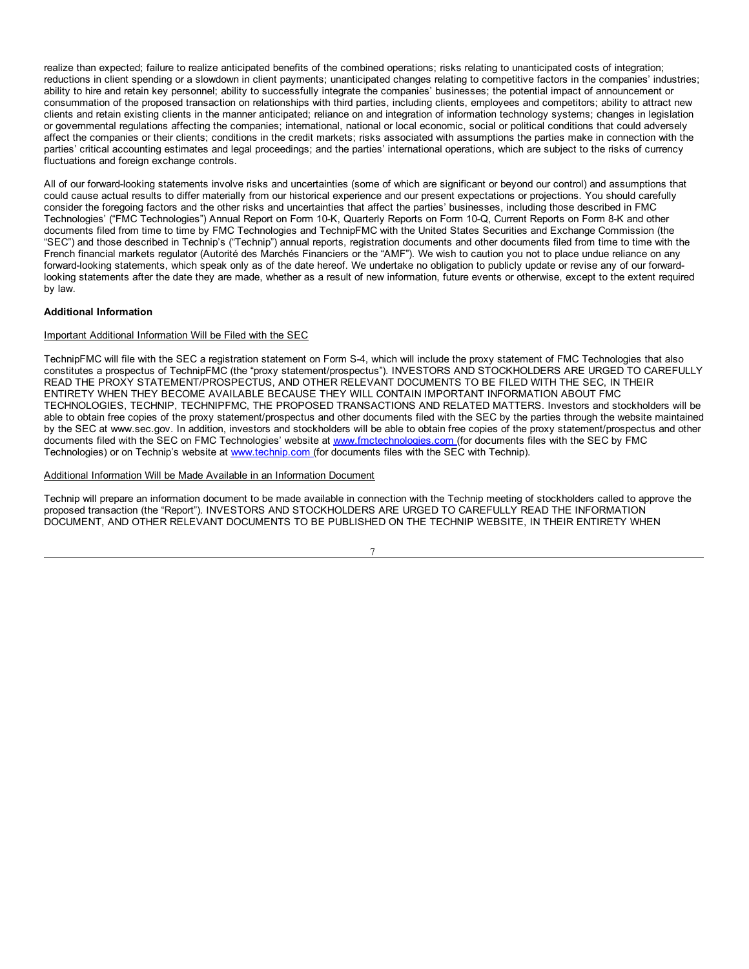realize than expected; failure to realize anticipated benefits of the combined operations; risks relating to unanticipated costs of integration; reductions in client spending or a slowdown in client payments; unanticipated changes relating to competitive factors in the companies' industries; ability to hire and retain key personnel; ability to successfully integrate the companies' businesses; the potential impact of announcement or consummation of the proposed transaction on relationships with third parties, including clients, employees and competitors; ability to attract new clients and retain existing clients in the manner anticipated; reliance on and integration of information technology systems; changes in legislation or governmental regulations affecting the companies; international, national or local economic, social or political conditions that could adversely affect the companies or their clients; conditions in the credit markets; risks associated with assumptions the parties make in connection with the parties' critical accounting estimates and legal proceedings; and the parties' international operations, which are subject to the risks of currency fluctuations and foreign exchange controls.

All of our forward-looking statements involve risks and uncertainties (some of which are significant or beyond our control) and assumptions that could cause actual results to differ materially from our historical experience and our present expectations or projections. You should carefully consider the foregoing factors and the other risks and uncertainties that affect the parties' businesses, including those described in FMC Technologies' ("FMC Technologies") Annual Report on Form 10-K, Quarterly Reports on Form 10-Q, Current Reports on Form 8-K and other documents filed from time to time by FMC Technologies and TechnipFMC with the United States Securities and Exchange Commission (the "SEC") and those described in Technip's ("Technip") annual reports, registration documents and other documents filed from time to time with the French financial markets regulator (Autorité des Marchés Financiers or the "AMF"). We wish to caution you not to place undue reliance on any forward-looking statements, which speak only as of the date hereof. We undertake no obligation to publicly update or revise any of our forwardlooking statements after the date they are made, whether as a result of new information, future events or otherwise, except to the extent required by law.

### **Additional Information**

### Important Additional Information Will be Filed with the SEC

TechnipFMC will file with the SEC a registration statement on Form S-4, which will include the proxy statement of FMC Technologies that also constitutes a prospectus of TechnipFMC (the "proxy statement/prospectus"). INVESTORS AND STOCKHOLDERS ARE URGED TO CAREFULLY READ THE PROXY STATEMENT/PROSPECTUS, AND OTHER RELEVANT DOCUMENTS TO BE FILED WITH THE SEC, IN THEIR ENTIRETY WHEN THEY BECOME AVAILABLE BECAUSE THEY WILL CONTAIN IMPORTANT INFORMATION ABOUT FMC TECHNOLOGIES, TECHNIP, TECHNIPFMC, THE PROPOSED TRANSACTIONS AND RELATED MATTERS. Investors and stockholders will be able to obtain free copies of the proxy statement/prospectus and other documents filed with the SEC by the parties through the website maintained by the SEC at www.sec.gov. In addition, investors and stockholders will be able to obtain free copies of the proxy statement/prospectus and other documents filed with the SEC on FMC Technologies' website at www.fmctechnologies.com (for documents files with the SEC by FMC Technologies) or on Technip's website at www.technip.com (for documents files with the SEC with Technip).

### Additional Information Will be Made Available in an Information Document

Technip will prepare an information document to be made available in connection with the Technip meeting of stockholders called to approve the proposed transaction (the "Report"). INVESTORS AND STOCKHOLDERS ARE URGED TO CAREFULLY READ THE INFORMATION DOCUMENT, AND OTHER RELEVANT DOCUMENTS TO BE PUBLISHED ON THE TECHNIP WEBSITE, IN THEIR ENTIRETY WHEN